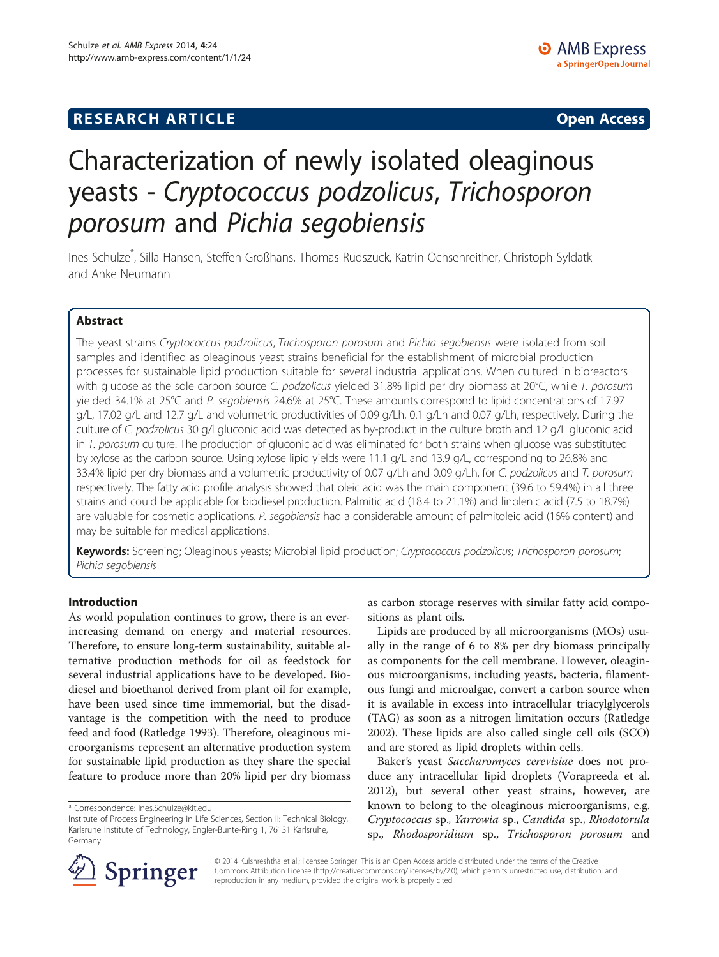## **RESEARCH ARTICLE Example 2014 12:30 The SEAR CHA RTICLE**

# Characterization of newly isolated oleaginous yeasts - Cryptococcus podzolicus, Trichosporon porosum and Pichia segobiensis

Ines Schulze\* , Silla Hansen, Steffen Großhans, Thomas Rudszuck, Katrin Ochsenreither, Christoph Syldatk and Anke Neumann

## Abstract

The yeast strains Cryptococcus podzolicus, Trichosporon porosum and Pichia segobiensis were isolated from soil samples and identified as oleaginous yeast strains beneficial for the establishment of microbial production processes for sustainable lipid production suitable for several industrial applications. When cultured in bioreactors with glucose as the sole carbon source C. podzolicus yielded 31.8% lipid per dry biomass at 20°C, while T. porosum yielded 34.1% at 25°C and P. segobiensis 24.6% at 25°C. These amounts correspond to lipid concentrations of 17.97 g/L, 17.02 g/L and 12.7 g/L and volumetric productivities of 0.09 g/Lh, 0.1 g/Lh and 0.07 g/Lh, respectively. During the culture of C. podzolicus 30 g/l gluconic acid was detected as by-product in the culture broth and 12 g/L gluconic acid in T. porosum culture. The production of gluconic acid was eliminated for both strains when glucose was substituted by xylose as the carbon source. Using xylose lipid yields were 11.1 g/L and 13.9 g/L, corresponding to 26.8% and 33.4% lipid per dry biomass and a volumetric productivity of 0.07 g/Lh and 0.09 g/Lh, for C. podzolicus and T. porosum respectively. The fatty acid profile analysis showed that oleic acid was the main component (39.6 to 59.4%) in all three strains and could be applicable for biodiesel production. Palmitic acid (18.4 to 21.1%) and linolenic acid (7.5 to 18.7%) are valuable for cosmetic applications. P. segobiensis had a considerable amount of palmitoleic acid (16% content) and may be suitable for medical applications.

Keywords: Screening; Oleaginous yeasts; Microbial lipid production; Cryptococcus podzolicus; Trichosporon porosum; Pichia segobiensis

#### Introduction

As world population continues to grow, there is an everincreasing demand on energy and material resources. Therefore, to ensure long-term sustainability, suitable alternative production methods for oil as feedstock for several industrial applications have to be developed. Biodiesel and bioethanol derived from plant oil for example, have been used since time immemorial, but the disadvantage is the competition with the need to produce feed and food (Ratledge [1993](#page-10-0)). Therefore, oleaginous microorganisms represent an alternative production system for sustainable lipid production as they share the special feature to produce more than 20% lipid per dry biomass

as carbon storage reserves with similar fatty acid compositions as plant oils.

Lipids are produced by all microorganisms (MOs) usually in the range of 6 to 8% per dry biomass principally as components for the cell membrane. However, oleaginous microorganisms, including yeasts, bacteria, filamentous fungi and microalgae, convert a carbon source when it is available in excess into intracellular triacylglycerols (TAG) as soon as a nitrogen limitation occurs (Ratledge [2002](#page-10-0)). These lipids are also called single cell oils (SCO) and are stored as lipid droplets within cells.

Baker's yeast Saccharomyces cerevisiae does not produce any intracellular lipid droplets (Vorapreeda et al. [2012](#page-10-0)), but several other yeast strains, however, are known to belong to the oleaginous microorganisms, e.g. Cryptococcus sp., Yarrowia sp., Candida sp., Rhodotorula sp., Rhodosporidium sp., Trichosporon porosum and



© 2014 Kulshreshtha et al.; licensee Springer. This is an Open Access article distributed under the terms of the Creative Commons Attribution License (http://creativecommons.org/licenses/by/2.0), which permits unrestricted use, distribution, and reproduction in any medium, provided the original work is properly cited.

<sup>\*</sup> Correspondence: [Ines.Schulze@kit.edu](mailto:Ines.Schulze@kit.edu)

Institute of Process Engineering in Life Sciences, Section II: Technical Biology, Karlsruhe Institute of Technology, Engler-Bunte-Ring 1, 76131 Karlsruhe, Germany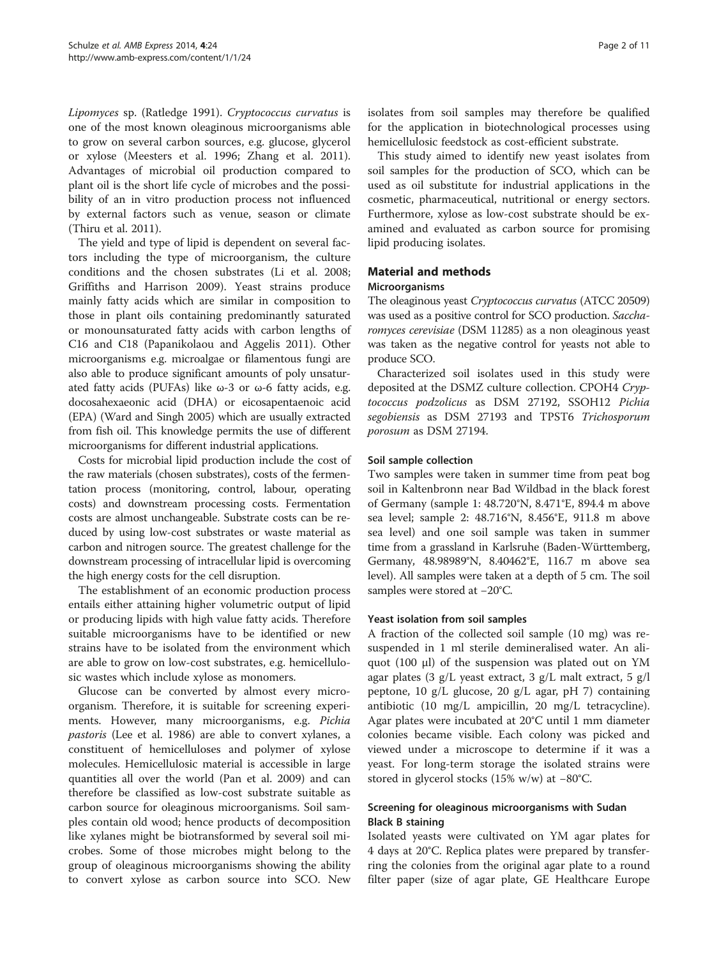Lipomyces sp. (Ratledge [1991\)](#page-10-0). Cryptococcus curvatus is one of the most known oleaginous microorganisms able to grow on several carbon sources, e.g. glucose, glycerol or xylose (Meesters et al. [1996;](#page-10-0) Zhang et al. [2011](#page-10-0)). Advantages of microbial oil production compared to plant oil is the short life cycle of microbes and the possibility of an in vitro production process not influenced by external factors such as venue, season or climate (Thiru et al. [2011](#page-10-0)).

The yield and type of lipid is dependent on several factors including the type of microorganism, the culture conditions and the chosen substrates (Li et al. [2008](#page-10-0); Griffiths and Harrison [2009](#page-9-0)). Yeast strains produce mainly fatty acids which are similar in composition to those in plant oils containing predominantly saturated or monounsaturated fatty acids with carbon lengths of C16 and C18 (Papanikolaou and Aggelis [2011](#page-10-0)). Other microorganisms e.g. microalgae or filamentous fungi are also able to produce significant amounts of poly unsaturated fatty acids (PUFAs) like  $\omega$ -3 or  $\omega$ -6 fatty acids, e.g. docosahexaeonic acid (DHA) or eicosapentaenoic acid (EPA) (Ward and Singh [2005\)](#page-10-0) which are usually extracted from fish oil. This knowledge permits the use of different microorganisms for different industrial applications.

Costs for microbial lipid production include the cost of the raw materials (chosen substrates), costs of the fermentation process (monitoring, control, labour, operating costs) and downstream processing costs. Fermentation costs are almost unchangeable. Substrate costs can be reduced by using low-cost substrates or waste material as carbon and nitrogen source. The greatest challenge for the downstream processing of intracellular lipid is overcoming the high energy costs for the cell disruption.

The establishment of an economic production process entails either attaining higher volumetric output of lipid or producing lipids with high value fatty acids. Therefore suitable microorganisms have to be identified or new strains have to be isolated from the environment which are able to grow on low-cost substrates, e.g. hemicellulosic wastes which include xylose as monomers.

Glucose can be converted by almost every microorganism. Therefore, it is suitable for screening experiments. However, many microorganisms, e.g. Pichia pastoris (Lee et al. [1986\)](#page-10-0) are able to convert xylanes, a constituent of hemicelluloses and polymer of xylose molecules. Hemicellulosic material is accessible in large quantities all over the world (Pan et al. [2009\)](#page-10-0) and can therefore be classified as low-cost substrate suitable as carbon source for oleaginous microorganisms. Soil samples contain old wood; hence products of decomposition like xylanes might be biotransformed by several soil microbes. Some of those microbes might belong to the group of oleaginous microorganisms showing the ability to convert xylose as carbon source into SCO. New

isolates from soil samples may therefore be qualified for the application in biotechnological processes using hemicellulosic feedstock as cost-efficient substrate.

This study aimed to identify new yeast isolates from soil samples for the production of SCO, which can be used as oil substitute for industrial applications in the cosmetic, pharmaceutical, nutritional or energy sectors. Furthermore, xylose as low-cost substrate should be examined and evaluated as carbon source for promising lipid producing isolates.

## Material and methods

## Microorganisms

The oleaginous yeast Cryptococcus curvatus (ATCC 20509) was used as a positive control for SCO production. Saccharomyces cerevisiae (DSM 11285) as a non oleaginous yeast was taken as the negative control for yeasts not able to produce SCO.

Characterized soil isolates used in this study were deposited at the DSMZ culture collection. CPOH4 Cryptococcus podzolicus as DSM 27192, SSOH12 Pichia segobiensis as DSM 27193 and TPST6 Trichosporum porosum as DSM 27194.

## Soil sample collection

Two samples were taken in summer time from peat bog soil in Kaltenbronn near Bad Wildbad in the black forest of Germany (sample 1: 48.720°N, 8.471°E, 894.4 m above sea level; sample 2: 48.716°N, 8.456°E, 911.8 m above sea level) and one soil sample was taken in summer time from a grassland in Karlsruhe (Baden-Württemberg, Germany, 48.98989°N, 8.40462°E, 116.7 m above sea level). All samples were taken at a depth of 5 cm. The soil samples were stored at −20°C.

## Yeast isolation from soil samples

A fraction of the collected soil sample (10 mg) was resuspended in 1 ml sterile demineralised water. An aliquot (100 μl) of the suspension was plated out on YM agar plates (3 g/L yeast extract, 3 g/L malt extract, 5 g/l peptone, 10 g/L glucose, 20 g/L agar, pH 7) containing antibiotic (10 mg/L ampicillin, 20 mg/L tetracycline). Agar plates were incubated at 20°C until 1 mm diameter colonies became visible. Each colony was picked and viewed under a microscope to determine if it was a yeast. For long-term storage the isolated strains were stored in glycerol stocks (15% w/w) at −80°C.

## Screening for oleaginous microorganisms with Sudan Black B staining

Isolated yeasts were cultivated on YM agar plates for 4 days at 20°C. Replica plates were prepared by transferring the colonies from the original agar plate to a round filter paper (size of agar plate, GE Healthcare Europe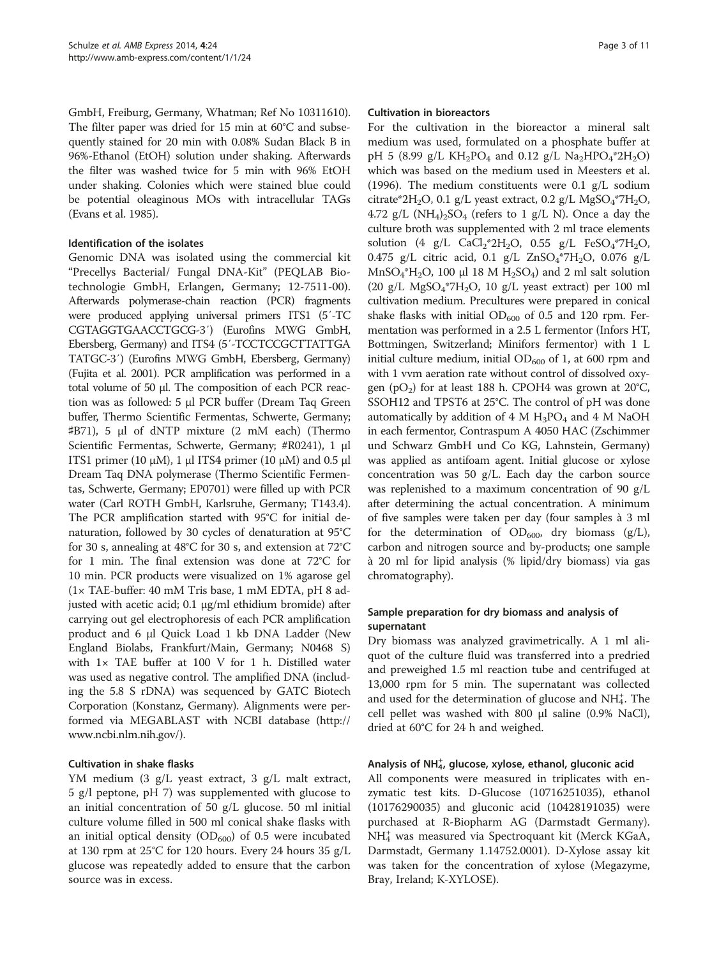GmbH, Freiburg, Germany, Whatman; Ref No 10311610). The filter paper was dried for 15 min at 60°C and subsequently stained for 20 min with 0.08% Sudan Black B in 96%-Ethanol (EtOH) solution under shaking. Afterwards the filter was washed twice for 5 min with 96% EtOH under shaking. Colonies which were stained blue could be potential oleaginous MOs with intracellular TAGs (Evans et al. [1985](#page-9-0)).

## Identification of the isolates

Genomic DNA was isolated using the commercial kit "Precellys Bacterial/ Fungal DNA-Kit" (PEQLAB Biotechnologie GmbH, Erlangen, Germany; 12-7511-00). Afterwards polymerase-chain reaction (PCR) fragments were produced applying universal primers ITS1 (5′-TC CGTAGGTGAACCTGCG-3′) (Eurofins MWG GmbH, Ebersberg, Germany) and ITS4 (5′-TCCTCCGCTTATTGA TATGC-3′) (Eurofins MWG GmbH, Ebersberg, Germany) (Fujita et al. [2001](#page-9-0)). PCR amplification was performed in a total volume of 50 μl. The composition of each PCR reaction was as followed: 5 μl PCR buffer (Dream Taq Green buffer, Thermo Scientific Fermentas, Schwerte, Germany; ♯B71), 5 μl of dNTP mixture (2 mM each) (Thermo Scientific Fermentas, Schwerte, Germany; #R0241), 1 μl ITS1 primer (10 μM), 1 μl ITS4 primer (10 μM) and 0.5 μl Dream Taq DNA polymerase (Thermo Scientific Fermentas, Schwerte, Germany; EP0701) were filled up with PCR water (Carl ROTH GmbH, Karlsruhe, Germany; T143.4). The PCR amplification started with 95°C for initial denaturation, followed by 30 cycles of denaturation at 95°C for 30 s, annealing at 48°C for 30 s, and extension at 72°C for 1 min. The final extension was done at 72°C for 10 min. PCR products were visualized on 1% agarose gel (1× TAE-buffer: 40 mM Tris base, 1 mM EDTA, pH 8 adjusted with acetic acid; 0.1 μg/ml ethidium bromide) after carrying out gel electrophoresis of each PCR amplification product and 6 μl Quick Load 1 kb DNA Ladder (New England Biolabs, Frankfurt/Main, Germany; N0468 S) with  $1 \times$  TAE buffer at 100 V for 1 h. Distilled water was used as negative control. The amplified DNA (including the 5.8 S rDNA) was sequenced by GATC Biotech Corporation (Konstanz, Germany). Alignments were performed via MEGABLAST with NCBI database [\(http://](http://www.ncbi.nlm.nih.gov/) [www.ncbi.nlm.nih.gov/\)](http://www.ncbi.nlm.nih.gov/).

## Cultivation in shake flasks

YM medium (3 g/L yeast extract, 3 g/L malt extract, 5 g/l peptone, pH 7) was supplemented with glucose to an initial concentration of 50 g/L glucose. 50 ml initial culture volume filled in 500 ml conical shake flasks with an initial optical density  $(OD_{600})$  of 0.5 were incubated at 130 rpm at 25°C for 120 hours. Every 24 hours 35 g/L glucose was repeatedly added to ensure that the carbon source was in excess.

#### Cultivation in bioreactors

For the cultivation in the bioreactor a mineral salt medium was used, formulated on a phosphate buffer at pH 5 (8.99 g/L KH<sub>2</sub>PO<sub>4</sub> and 0.12 g/L Na<sub>2</sub>HPO<sub>4</sub>\*2H<sub>2</sub>O) which was based on the medium used in Meesters et al. ([1996\)](#page-10-0). The medium constituents were 0.1 g/L sodium citrate\*2H<sub>2</sub>O, 0.1 g/L yeast extract, 0.2 g/L MgSO<sub>4</sub>\*7H<sub>2</sub>O, 4.72 g/L  $(NH_4)_2SO_4$  (refers to 1 g/L N). Once a day the culture broth was supplemented with 2 ml trace elements solution (4 g/L CaCl<sub>2</sub>\*2H<sub>2</sub>O, 0.55 g/L FeSO<sub>4</sub>\*7H<sub>2</sub>O, 0.475 g/L citric acid, 0.1 g/L ZnSO<sub>4</sub>\*7H<sub>2</sub>O, 0.076 g/L  $MnSO<sub>4</sub><sup>*</sup>H<sub>2</sub>O$ , 100 μl 18 M  $H<sub>2</sub>SO<sub>4</sub>$ ) and 2 ml salt solution (20 g/L MgSO<sub>4</sub>\*7H<sub>2</sub>O, 10 g/L yeast extract) per 100 ml cultivation medium. Precultures were prepared in conical shake flasks with initial  $OD_{600}$  of 0.5 and 120 rpm. Fermentation was performed in a 2.5 L fermentor (Infors HT, Bottmingen, Switzerland; Minifors fermentor) with 1 L initial culture medium, initial  $OD_{600}$  of 1, at 600 rpm and with 1 vvm aeration rate without control of dissolved oxygen (pO<sub>2</sub>) for at least 188 h. CPOH4 was grown at  $20^{\circ}$ C, SSOH12 and TPST6 at 25°C. The control of pH was done automatically by addition of  $4 \text{ M H}_3\text{PO}_4$  and  $4 \text{ M NaOH}$ in each fermentor, Contraspum A 4050 HAC (Zschimmer und Schwarz GmbH und Co KG, Lahnstein, Germany) was applied as antifoam agent. Initial glucose or xylose concentration was 50 g/L. Each day the carbon source was replenished to a maximum concentration of 90 g/L after determining the actual concentration. A minimum of five samples were taken per day (four samples à 3 ml for the determination of  $OD_{600}$ , dry biomass (g/L), carbon and nitrogen source and by-products; one sample à 20 ml for lipid analysis (% lipid/dry biomass) via gas chromatography).

## Sample preparation for dry biomass and analysis of supernatant

Dry biomass was analyzed gravimetrically. A 1 ml aliquot of the culture fluid was transferred into a predried and preweighed 1.5 ml reaction tube and centrifuged at 13,000 rpm for 5 min. The supernatant was collected and used for the determination of glucose and  $NH<sub>4</sub>$ . The cell pellet was washed with 800 μl saline (0.9% NaCl), dried at 60°C for 24 h and weighed.

## Analysis of NH<sup>+</sup><sub>4</sub>, glucose, xylose, ethanol, gluconic acid

All components were measured in triplicates with enzymatic test kits. D-Glucose (10716251035), ethanol (10176290035) and gluconic acid (10428191035) were purchased at R-Biopharm AG (Darmstadt Germany). NH4 <sup>+</sup> was measured via Spectroquant kit (Merck KGaA, Darmstadt, Germany 1.14752.0001). D-Xylose assay kit was taken for the concentration of xylose (Megazyme, Bray, Ireland; K-XYLOSE).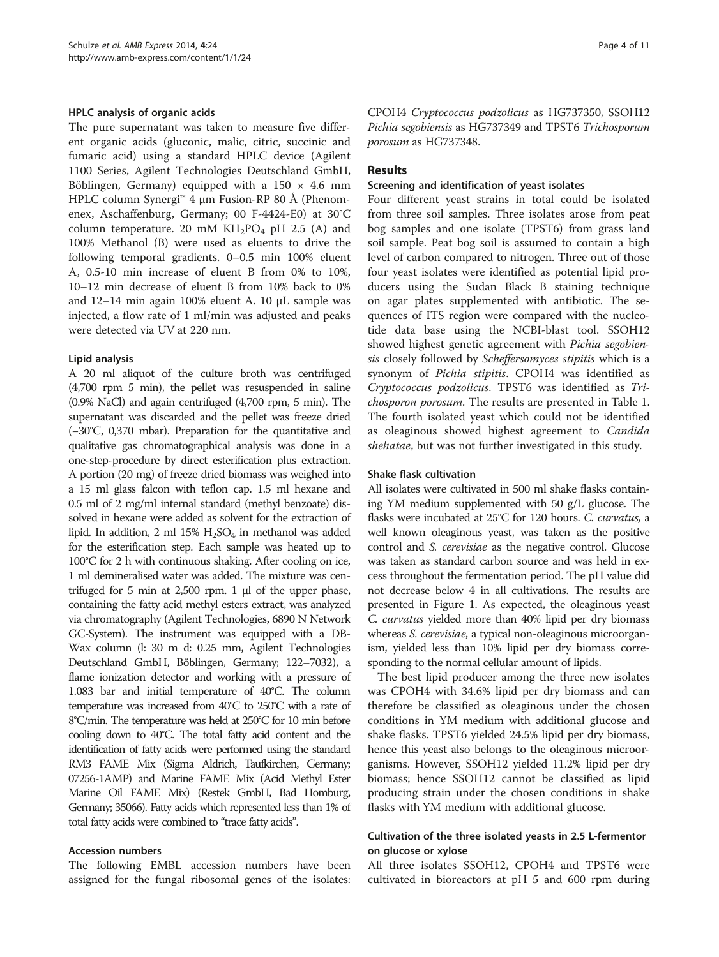#### HPLC analysis of organic acids

The pure supernatant was taken to measure five different organic acids (gluconic, malic, citric, succinic and fumaric acid) using a standard HPLC device (Agilent 1100 Series, Agilent Technologies Deutschland GmbH, Böblingen, Germany) equipped with a  $150 \times 4.6$  mm HPLC column Synergi™ 4 μm Fusion-RP 80 Å (Phenomenex, Aschaffenburg, Germany; 00 F-4424-E0) at 30°C column temperature. 20 mM  $KH_2PO_4$  pH 2.5 (A) and 100% Methanol (B) were used as eluents to drive the following temporal gradients. 0–0.5 min 100% eluent A, 0.5-10 min increase of eluent B from 0% to 10%, 10–12 min decrease of eluent B from 10% back to 0% and 12–14 min again 100% eluent A. 10 μL sample was injected, a flow rate of 1 ml/min was adjusted and peaks were detected via UV at 220 nm.

#### Lipid analysis

A 20 ml aliquot of the culture broth was centrifuged (4,700 rpm 5 min), the pellet was resuspended in saline (0.9% NaCl) and again centrifuged (4,700 rpm, 5 min). The supernatant was discarded and the pellet was freeze dried (−30°C, 0,370 mbar). Preparation for the quantitative and qualitative gas chromatographical analysis was done in a one-step-procedure by direct esterification plus extraction. A portion (20 mg) of freeze dried biomass was weighed into a 15 ml glass falcon with teflon cap. 1.5 ml hexane and 0.5 ml of 2 mg/ml internal standard (methyl benzoate) dissolved in hexane were added as solvent for the extraction of lipid. In addition, 2 ml  $15\%$  H<sub>2</sub>SO<sub>4</sub> in methanol was added for the esterification step. Each sample was heated up to 100°C for 2 h with continuous shaking. After cooling on ice, 1 ml demineralised water was added. The mixture was centrifuged for 5 min at 2,500 rpm. 1 μl of the upper phase, containing the fatty acid methyl esters extract, was analyzed via chromatography (Agilent Technologies, 6890 N Network GC-System). The instrument was equipped with a DB-Wax column (l: 30 m d: 0.25 mm, Agilent Technologies Deutschland GmbH, Böblingen, Germany; 122–7032), a flame ionization detector and working with a pressure of 1.083 bar and initial temperature of 40°C. The column temperature was increased from 40°C to 250°C with a rate of 8°C/min. The temperature was held at 250°C for 10 min before cooling down to 40°C. The total fatty acid content and the identification of fatty acids were performed using the standard RM3 FAME Mix (Sigma Aldrich, Taufkirchen, Germany; 07256-1AMP) and Marine FAME Mix (Acid Methyl Ester Marine Oil FAME Mix) (Restek GmbH, Bad Homburg, Germany; 35066). Fatty acids which represented less than 1% of total fatty acids were combined to "trace fatty acids".

#### Accession numbers

The following EMBL accession numbers have been assigned for the fungal ribosomal genes of the isolates:

CPOH4 Cryptococcus podzolicus as HG737350, SSOH12 Pichia segobiensis as HG737349 and TPST6 Trichosporum porosum as HG737348.

## **Results**

#### Screening and identification of yeast isolates

Four different yeast strains in total could be isolated from three soil samples. Three isolates arose from peat bog samples and one isolate (TPST6) from grass land soil sample. Peat bog soil is assumed to contain a high level of carbon compared to nitrogen. Three out of those four yeast isolates were identified as potential lipid producers using the Sudan Black B staining technique on agar plates supplemented with antibiotic. The sequences of ITS region were compared with the nucleotide data base using the NCBI-blast tool. SSOH12 showed highest genetic agreement with Pichia segobiensis closely followed by Scheffersomyces stipitis which is a synonym of Pichia stipitis. CPOH4 was identified as Cryptococcus podzolicus. TPST6 was identified as Trichosporon porosum. The results are presented in Table [1](#page-4-0). The fourth isolated yeast which could not be identified as oleaginous showed highest agreement to Candida shehatae, but was not further investigated in this study.

#### Shake flask cultivation

All isolates were cultivated in 500 ml shake flasks containing YM medium supplemented with 50 g/L glucose. The flasks were incubated at 25°C for 120 hours. C. curvatus, a well known oleaginous yeast, was taken as the positive control and S. cerevisiae as the negative control. Glucose was taken as standard carbon source and was held in excess throughout the fermentation period. The pH value did not decrease below 4 in all cultivations. The results are presented in Figure [1](#page-4-0). As expected, the oleaginous yeast C. curvatus yielded more than 40% lipid per dry biomass whereas *S. cerevisiae*, a typical non-oleaginous microorganism, yielded less than 10% lipid per dry biomass corresponding to the normal cellular amount of lipids.

The best lipid producer among the three new isolates was CPOH4 with 34.6% lipid per dry biomass and can therefore be classified as oleaginous under the chosen conditions in YM medium with additional glucose and shake flasks. TPST6 yielded 24.5% lipid per dry biomass, hence this yeast also belongs to the oleaginous microorganisms. However, SSOH12 yielded 11.2% lipid per dry biomass; hence SSOH12 cannot be classified as lipid producing strain under the chosen conditions in shake flasks with YM medium with additional glucose.

## Cultivation of the three isolated yeasts in 2.5 L-fermentor on glucose or xylose

All three isolates SSOH12, CPOH4 and TPST6 were cultivated in bioreactors at pH 5 and 600 rpm during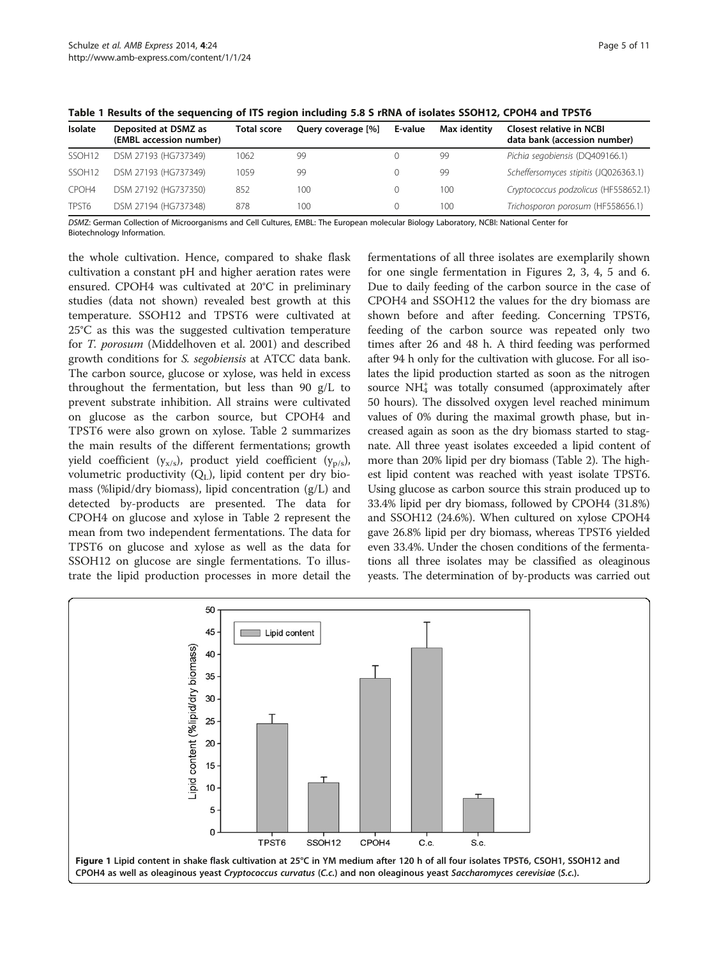| <b>Isolate</b>     | Deposited at DSMZ as<br>(EMBL accession number) | <b>Total score</b> | Query coverage [%] | E-value | Max identity | <b>Closest relative in NCBI</b><br>data bank (accession number) |
|--------------------|-------------------------------------------------|--------------------|--------------------|---------|--------------|-----------------------------------------------------------------|
| SSOH <sub>12</sub> | DSM 27193 (HG737349)                            | 1062               | 99                 |         | 99           | Pichia segobiensis (DQ409166.1)                                 |
| SSOH <sub>12</sub> | DSM 27193 (HG737349)                            | 1059               | 99                 |         | 99           | Scheffersomyces stipitis (JQ026363.1)                           |
| CPOH4              | DSM 27192 (HG737350)                            | 852                | 100                |         | 100          | Cryptococcus podzolicus (HF558652.1)                            |
| TPST6              | DSM 27194 (HG737348)                            | 878                | 100                |         | 100          | Trichosporon porosum (HF558656.1)                               |

<span id="page-4-0"></span>Table 1 Results of the sequencing of ITS region including 5.8 S rRNA of isolates SSOH12, CPOH4 and TPST6

DSMZ: German Collection of Microorganisms and Cell Cultures, EMBL: The European molecular Biology Laboratory, NCBI: National Center for Biotechnology Information.

the whole cultivation. Hence, compared to shake flask cultivation a constant pH and higher aeration rates were ensured. CPOH4 was cultivated at 20°C in preliminary studies (data not shown) revealed best growth at this temperature. SSOH12 and TPST6 were cultivated at 25°C as this was the suggested cultivation temperature for T. porosum (Middelhoven et al. [2001](#page-10-0)) and described growth conditions for S. segobiensis at ATCC data bank. The carbon source, glucose or xylose, was held in excess throughout the fermentation, but less than 90 g/L to prevent substrate inhibition. All strains were cultivated on glucose as the carbon source, but CPOH4 and TPST6 were also grown on xylose. Table [2](#page-5-0) summarizes the main results of the different fermentations; growth yield coefficient ( $y_{x/s}$ ), product yield coefficient ( $y_{p/s}$ ), volumetric productivity  $(Q_L)$ , lipid content per dry biomass (%lipid/dry biomass), lipid concentration (g/L) and detected by-products are presented. The data for CPOH4 on glucose and xylose in Table [2](#page-5-0) represent the mean from two independent fermentations. The data for TPST6 on glucose and xylose as well as the data for SSOH12 on glucose are single fermentations. To illustrate the lipid production processes in more detail the

fermentations of all three isolates are exemplarily shown for one single fermentation in Figures [2,](#page-5-0) [3, 4](#page-6-0), [5](#page-7-0) and [6](#page-7-0). Due to daily feeding of the carbon source in the case of CPOH4 and SSOH12 the values for the dry biomass are shown before and after feeding. Concerning TPST6, feeding of the carbon source was repeated only two times after 26 and 48 h. A third feeding was performed after 94 h only for the cultivation with glucose. For all isolates the lipid production started as soon as the nitrogen source NH<sub>4</sub> was totally consumed (approximately after 50 hours). The dissolved oxygen level reached minimum values of 0% during the maximal growth phase, but increased again as soon as the dry biomass started to stagnate. All three yeast isolates exceeded a lipid content of more than 20% lipid per dry biomass (Table [2](#page-5-0)). The highest lipid content was reached with yeast isolate TPST6. Using glucose as carbon source this strain produced up to 33.4% lipid per dry biomass, followed by CPOH4 (31.8%) and SSOH12 (24.6%). When cultured on xylose CPOH4 gave 26.8% lipid per dry biomass, whereas TPST6 yielded even 33.4%. Under the chosen conditions of the fermentations all three isolates may be classified as oleaginous yeasts. The determination of by-products was carried out

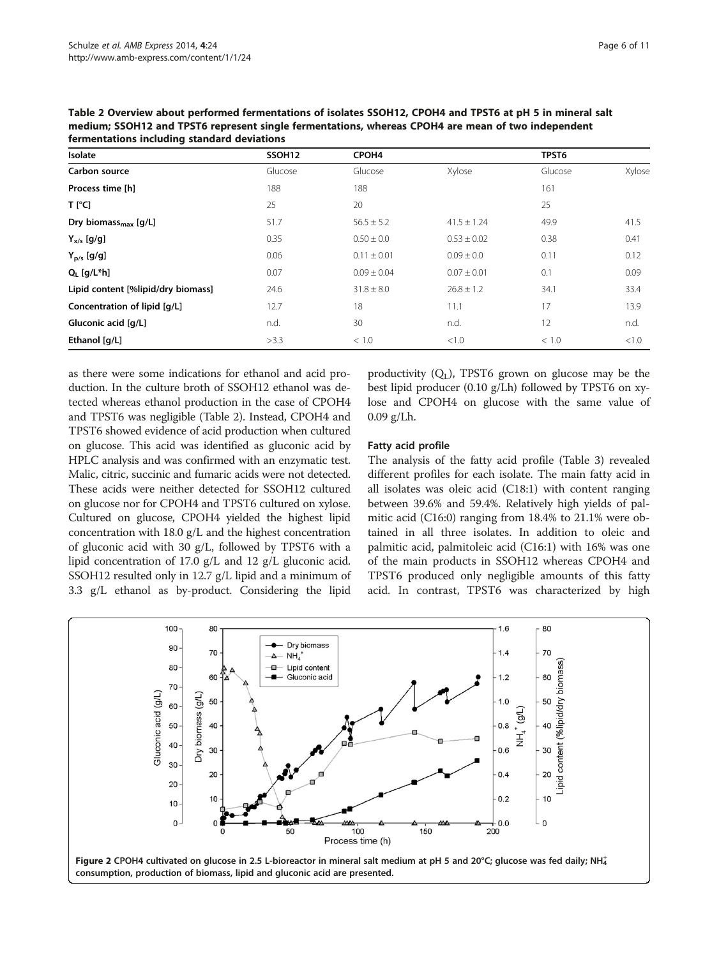| rermentations including standard deviations |                    |                   |                 |         |        |  |  |
|---------------------------------------------|--------------------|-------------------|-----------------|---------|--------|--|--|
| Isolate                                     | SSOH <sub>12</sub> | CPOH <sub>4</sub> |                 | TPST6   |        |  |  |
| Carbon source                               | Glucose            | Glucose           | Xylose          | Glucose | Xylose |  |  |
| Process time [h]                            | 188                | 188               |                 | 161     |        |  |  |
| $T$ [ $^{\circ}$ C]                         | 25                 | 20                |                 | 25      |        |  |  |
| Dry biomass <sub>max</sub> $[g/L]$          | 51.7               | $56.5 \pm 5.2$    | $41.5 \pm 1.24$ | 49.9    | 41.5   |  |  |
| $Y_{x/s}$ [g/g]                             | 0.35               | $0.50 \pm 0.0$    | $0.53 \pm 0.02$ | 0.38    | 0.41   |  |  |
| $Y_{p/s}$ [g/g]                             | 0.06               | $0.11 \pm 0.01$   | $0.09 \pm 0.0$  | 0.11    | 0.12   |  |  |
| $Q_i$ [g/L*h]                               | 0.07               | $0.09 \pm 0.04$   | $0.07 \pm 0.01$ | 0.1     | 0.09   |  |  |
| Lipid content [%lipid/dry biomass]          | 24.6               | $31.8 \pm 8.0$    | $26.8 \pm 1.2$  | 34.1    | 33.4   |  |  |
| Concentration of lipid [g/L]                | 12.7               | 18                | 11.1            | 17      | 13.9   |  |  |
| Gluconic acid [q/L]                         | n.d.               | 30                | n.d.            | 12      | n.d.   |  |  |
| Ethanol [q/L]                               | >3.3               | < 1.0             | < 1.0           | < 1.0   | < 1.0  |  |  |

<span id="page-5-0"></span>Table 2 Overview about performed fermentations of isolates SSOH12, CPOH4 and TPST6 at pH 5 in mineral salt medium; SSOH12 and TPST6 represent single fermentations, whereas CPOH4 are mean of two independent fermentations including standard deviations

as there were some indications for ethanol and acid production. In the culture broth of SSOH12 ethanol was detected whereas ethanol production in the case of CPOH4 and TPST6 was negligible (Table 2). Instead, CPOH4 and TPST6 showed evidence of acid production when cultured on glucose. This acid was identified as gluconic acid by HPLC analysis and was confirmed with an enzymatic test. Malic, citric, succinic and fumaric acids were not detected. These acids were neither detected for SSOH12 cultured on glucose nor for CPOH4 and TPST6 cultured on xylose. Cultured on glucose, CPOH4 yielded the highest lipid concentration with 18.0 g/L and the highest concentration of gluconic acid with 30 g/L, followed by TPST6 with a lipid concentration of 17.0 g/L and 12 g/L gluconic acid. SSOH12 resulted only in 12.7 g/L lipid and a minimum of 3.3 g/L ethanol as by-product. Considering the lipid

productivity  $(Q_L)$ , TPST6 grown on glucose may be the best lipid producer (0.10 g/Lh) followed by TPST6 on xylose and CPOH4 on glucose with the same value of  $0.09$  g/Lh.

## Fatty acid profile

The analysis of the fatty acid profile (Table [3\)](#page-8-0) revealed different profiles for each isolate. The main fatty acid in all isolates was oleic acid (C18:1) with content ranging between 39.6% and 59.4%. Relatively high yields of palmitic acid (C16:0) ranging from 18.4% to 21.1% were obtained in all three isolates. In addition to oleic and palmitic acid, palmitoleic acid (C16:1) with 16% was one of the main products in SSOH12 whereas CPOH4 and TPST6 produced only negligible amounts of this fatty acid. In contrast, TPST6 was characterized by high

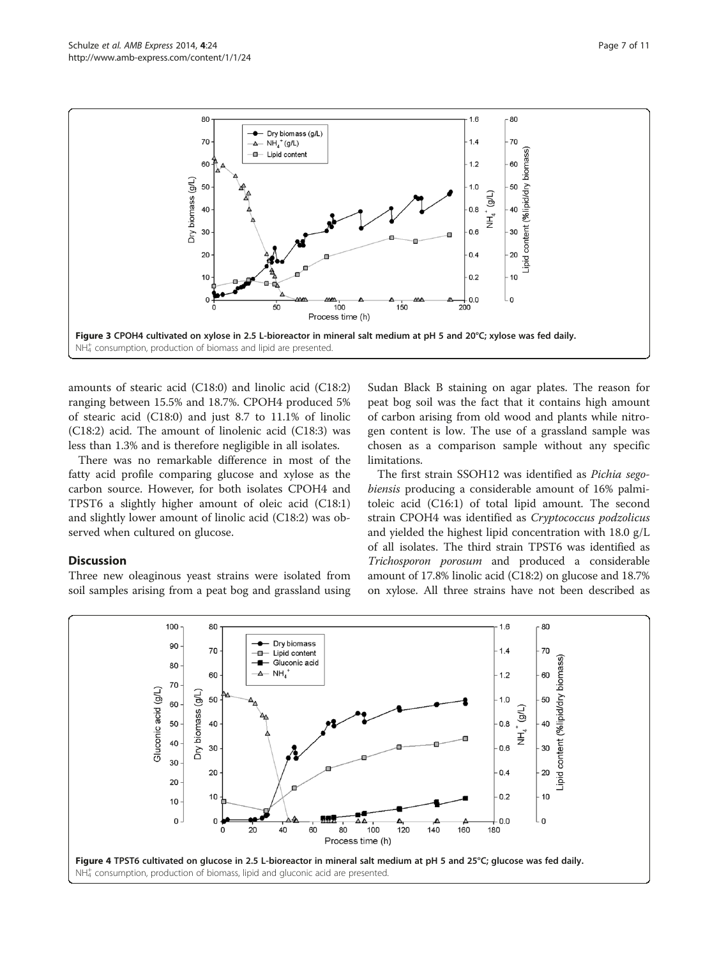<span id="page-6-0"></span>

amounts of stearic acid (C18:0) and linolic acid (C18:2) ranging between 15.5% and 18.7%. CPOH4 produced 5% of stearic acid (C18:0) and just 8.7 to 11.1% of linolic (C18:2) acid. The amount of linolenic acid (C18:3) was less than 1.3% and is therefore negligible in all isolates.

There was no remarkable difference in most of the fatty acid profile comparing glucose and xylose as the carbon source. However, for both isolates CPOH4 and TPST6 a slightly higher amount of oleic acid (C18:1) and slightly lower amount of linolic acid (C18:2) was observed when cultured on glucose.

## **Discussion**

Three new oleaginous yeast strains were isolated from soil samples arising from a peat bog and grassland using

Sudan Black B staining on agar plates. The reason for peat bog soil was the fact that it contains high amount of carbon arising from old wood and plants while nitrogen content is low. The use of a grassland sample was chosen as a comparison sample without any specific limitations.

The first strain SSOH12 was identified as Pichia segobiensis producing a considerable amount of 16% palmitoleic acid (C16:1) of total lipid amount. The second strain CPOH4 was identified as Cryptococcus podzolicus and yielded the highest lipid concentration with 18.0 g/L of all isolates. The third strain TPST6 was identified as Trichosporon porosum and produced a considerable amount of 17.8% linolic acid (C18:2) on glucose and 18.7% on xylose. All three strains have not been described as

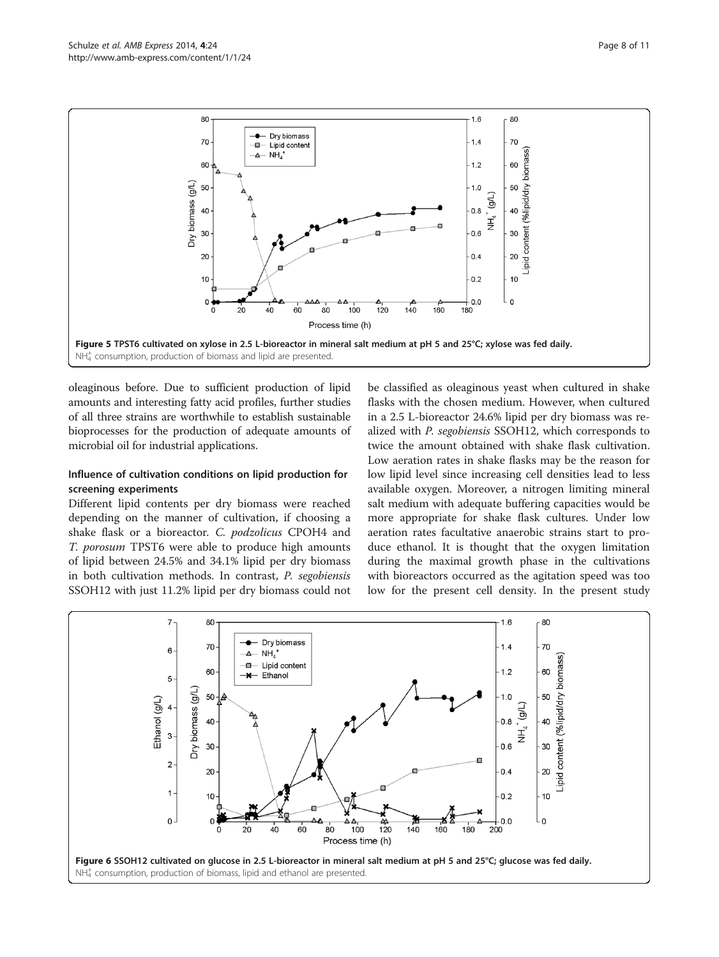<span id="page-7-0"></span>

oleaginous before. Due to sufficient production of lipid amounts and interesting fatty acid profiles, further studies of all three strains are worthwhile to establish sustainable bioprocesses for the production of adequate amounts of microbial oil for industrial applications.

## Influence of cultivation conditions on lipid production for screening experiments

Different lipid contents per dry biomass were reached depending on the manner of cultivation, if choosing a shake flask or a bioreactor. C. podzolicus CPOH4 and T. porosum TPST6 were able to produce high amounts of lipid between 24.5% and 34.1% lipid per dry biomass in both cultivation methods. In contrast, P. segobiensis SSOH12 with just 11.2% lipid per dry biomass could not

be classified as oleaginous yeast when cultured in shake flasks with the chosen medium. However, when cultured in a 2.5 L-bioreactor 24.6% lipid per dry biomass was realized with P. segobiensis SSOH12, which corresponds to twice the amount obtained with shake flask cultivation. Low aeration rates in shake flasks may be the reason for low lipid level since increasing cell densities lead to less available oxygen. Moreover, a nitrogen limiting mineral salt medium with adequate buffering capacities would be more appropriate for shake flask cultures. Under low aeration rates facultative anaerobic strains start to produce ethanol. It is thought that the oxygen limitation during the maximal growth phase in the cultivations with bioreactors occurred as the agitation speed was too low for the present cell density. In the present study

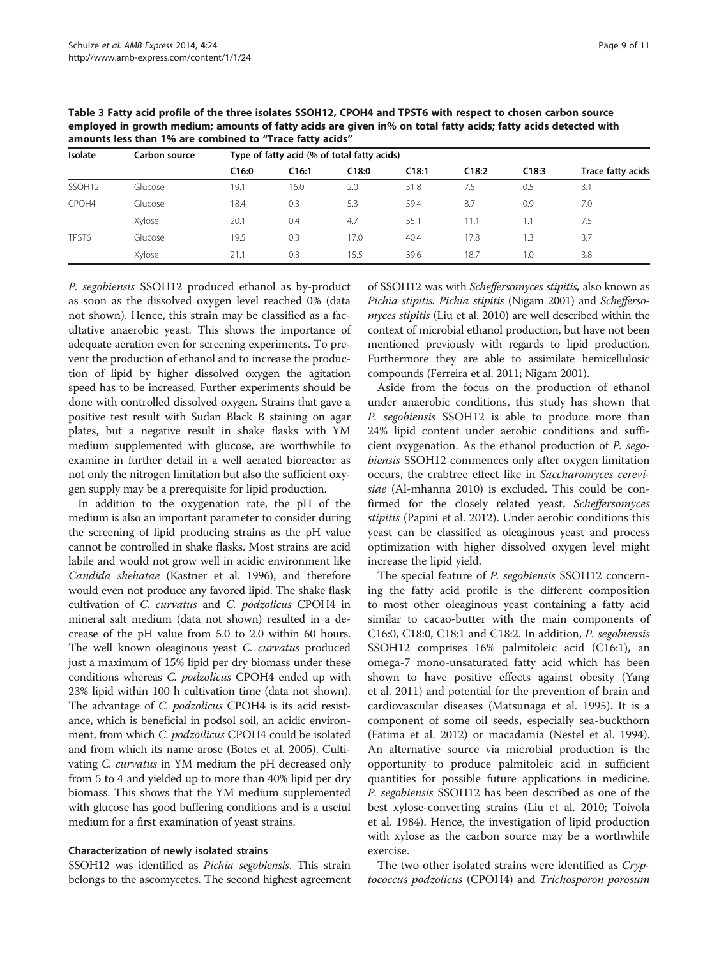| Isolate            | Carbon source | Type of fatty acid (% of total fatty acids) |       |       |       |       |       |                   |  |
|--------------------|---------------|---------------------------------------------|-------|-------|-------|-------|-------|-------------------|--|
|                    |               | C16:0                                       | C16:1 | C18:0 | C18:1 | C18:2 | C18:3 | Trace fatty acids |  |
| SSOH <sub>12</sub> | Glucose       | 19.1                                        | 16.0  | 2.0   | 51.8  | 7.5   | 0.5   | 3.1               |  |
| CPOH4              | Glucose       | 18.4                                        | 0.3   | 5.3   | 59.4  | 8.7   | 0.9   | 7.0               |  |
|                    | Xylose        | 20.1                                        | 0.4   | 4.7   | 55.1  | 11.1  | 1.1   | 7.5               |  |
| TPST6              | Glucose       | 19.5                                        | 0.3   | 17.0  | 40.4  | 17.8  | 1.3   | 3.7               |  |
|                    | Xylose        | 21.1                                        | 0.3   | 15.5  | 39.6  | 18.7  | 1.0   | 3.8               |  |

<span id="page-8-0"></span>Table 3 Fatty acid profile of the three isolates SSOH12, CPOH4 and TPST6 with respect to chosen carbon source employed in growth medium; amounts of fatty acids are given in% on total fatty acids; fatty acids detected with amounts less than 1% are combined to "Trace fatty acids"

P. segobiensis SSOH12 produced ethanol as by-product as soon as the dissolved oxygen level reached 0% (data not shown). Hence, this strain may be classified as a facultative anaerobic yeast. This shows the importance of adequate aeration even for screening experiments. To prevent the production of ethanol and to increase the production of lipid by higher dissolved oxygen the agitation speed has to be increased. Further experiments should be done with controlled dissolved oxygen. Strains that gave a positive test result with Sudan Black B staining on agar plates, but a negative result in shake flasks with YM medium supplemented with glucose, are worthwhile to examine in further detail in a well aerated bioreactor as not only the nitrogen limitation but also the sufficient oxygen supply may be a prerequisite for lipid production.

In addition to the oxygenation rate, the pH of the medium is also an important parameter to consider during the screening of lipid producing strains as the pH value cannot be controlled in shake flasks. Most strains are acid labile and would not grow well in acidic environment like Candida shehatae (Kastner et al. [1996\)](#page-10-0), and therefore would even not produce any favored lipid. The shake flask cultivation of C. curvatus and C. podzolicus CPOH4 in mineral salt medium (data not shown) resulted in a decrease of the pH value from 5.0 to 2.0 within 60 hours. The well known oleaginous yeast C. curvatus produced just a maximum of 15% lipid per dry biomass under these conditions whereas C. podzolicus CPOH4 ended up with 23% lipid within 100 h cultivation time (data not shown). The advantage of *C. podzolicus* CPOH4 is its acid resistance, which is beneficial in podsol soil, an acidic environment, from which *C. podzoilicus* CPOH4 could be isolated and from which its name arose (Botes et al. [2005\)](#page-9-0). Cultivating C. curvatus in YM medium the pH decreased only from 5 to 4 and yielded up to more than 40% lipid per dry biomass. This shows that the YM medium supplemented with glucose has good buffering conditions and is a useful medium for a first examination of yeast strains.

## Characterization of newly isolated strains

SSOH12 was identified as *Pichia segobiensis*. This strain belongs to the ascomycetes. The second highest agreement

of SSOH12 was with Scheffersomyces stipitis, also known as Pichia stipitis. Pichia stipitis (Nigam [2001](#page-10-0)) and Scheffersomyces stipitis (Liu et al. [2010\)](#page-10-0) are well described within the context of microbial ethanol production, but have not been mentioned previously with regards to lipid production. Furthermore they are able to assimilate hemicellulosic compounds (Ferreira et al. [2011](#page-9-0); Nigam [2001](#page-10-0)).

Aside from the focus on the production of ethanol under anaerobic conditions, this study has shown that P. segobiensis SSOH12 is able to produce more than 24% lipid content under aerobic conditions and sufficient oxygenation. As the ethanol production of P. segobiensis SSOH12 commences only after oxygen limitation occurs, the crabtree effect like in Saccharomyces cerevisiae (Al-mhanna [2010](#page-9-0)) is excluded. This could be confirmed for the closely related yeast, Scheffersomyces stipitis (Papini et al. [2012](#page-10-0)). Under aerobic conditions this yeast can be classified as oleaginous yeast and process optimization with higher dissolved oxygen level might increase the lipid yield.

The special feature of P. segobiensis SSOH12 concerning the fatty acid profile is the different composition to most other oleaginous yeast containing a fatty acid similar to cacao-butter with the main components of C16:0, C18:0, C18:1 and C18:2. In addition, P. segobiensis SSOH12 comprises 16% palmitoleic acid (C16:1), an omega-7 mono-unsaturated fatty acid which has been shown to have positive effects against obesity (Yang et al. [2011](#page-10-0)) and potential for the prevention of brain and cardiovascular diseases (Matsunaga et al. [1995\)](#page-10-0). It is a component of some oil seeds, especially sea-buckthorn (Fatima et al. [2012](#page-9-0)) or macadamia (Nestel et al. [1994](#page-10-0)). An alternative source via microbial production is the opportunity to produce palmitoleic acid in sufficient quantities for possible future applications in medicine. P. segobiensis SSOH12 has been described as one of the best xylose-converting strains (Liu et al. [2010;](#page-10-0) Toivola et al. [1984](#page-10-0)). Hence, the investigation of lipid production with xylose as the carbon source may be a worthwhile exercise.

The two other isolated strains were identified as Cryptococcus podzolicus (CPOH4) and Trichosporon porosum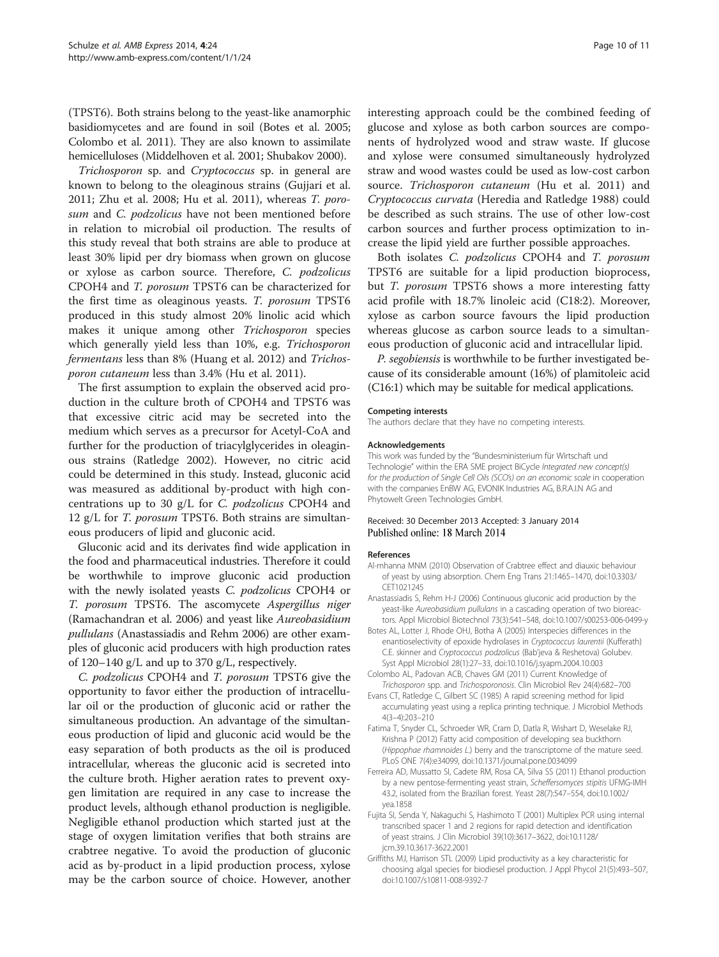<span id="page-9-0"></span>(TPST6). Both strains belong to the yeast-like anamorphic basidiomycetes and are found in soil (Botes et al. 2005; Colombo et al. 2011). They are also known to assimilate hemicelluloses (Middelhoven et al. [2001](#page-10-0); Shubakov [2000\)](#page-10-0).

Trichosporon sp. and Cryptococcus sp. in general are known to belong to the oleaginous strains (Gujjari et al. [2011](#page-10-0); Zhu et al. [2008](#page-10-0); Hu et al. [2011](#page-10-0)), whereas T. porosum and C. podzolicus have not been mentioned before in relation to microbial oil production. The results of this study reveal that both strains are able to produce at least 30% lipid per dry biomass when grown on glucose or xylose as carbon source. Therefore, C. podzolicus CPOH4 and T. porosum TPST6 can be characterized for the first time as oleaginous yeasts. T. porosum TPST6 produced in this study almost 20% linolic acid which makes it unique among other Trichosporon species which generally yield less than 10%, e.g. Trichosporon fermentans less than 8% (Huang et al. [2012](#page-10-0)) and Trichosporon cutaneum less than 3.4% (Hu et al. [2011](#page-10-0)).

The first assumption to explain the observed acid production in the culture broth of CPOH4 and TPST6 was that excessive citric acid may be secreted into the medium which serves as a precursor for Acetyl-CoA and further for the production of triacylglycerides in oleaginous strains (Ratledge [2002](#page-10-0)). However, no citric acid could be determined in this study. Instead, gluconic acid was measured as additional by-product with high concentrations up to 30 g/L for C. podzolicus CPOH4 and 12 g/L for T. porosum TPST6. Both strains are simultaneous producers of lipid and gluconic acid.

Gluconic acid and its derivates find wide application in the food and pharmaceutical industries. Therefore it could be worthwhile to improve gluconic acid production with the newly isolated yeasts C. podzolicus CPOH4 or T. porosum TPST6. The ascomycete Aspergillus niger (Ramachandran et al. [2006\)](#page-10-0) and yeast like Aureobasidium pullulans (Anastassiadis and Rehm 2006) are other examples of gluconic acid producers with high production rates of 120–140 g/L and up to 370 g/L, respectively.

C. podzolicus CPOH4 and T. porosum TPST6 give the opportunity to favor either the production of intracellular oil or the production of gluconic acid or rather the simultaneous production. An advantage of the simultaneous production of lipid and gluconic acid would be the easy separation of both products as the oil is produced intracellular, whereas the gluconic acid is secreted into the culture broth. Higher aeration rates to prevent oxygen limitation are required in any case to increase the product levels, although ethanol production is negligible. Negligible ethanol production which started just at the stage of oxygen limitation verifies that both strains are crabtree negative. To avoid the production of gluconic acid as by-product in a lipid production process, xylose may be the carbon source of choice. However, another

interesting approach could be the combined feeding of glucose and xylose as both carbon sources are components of hydrolyzed wood and straw waste. If glucose and xylose were consumed simultaneously hydrolyzed straw and wood wastes could be used as low-cost carbon source. Trichosporon cutaneum (Hu et al. [2011\)](#page-10-0) and Cryptococcus curvata (Heredia and Ratledge [1988\)](#page-10-0) could be described as such strains. The use of other low-cost carbon sources and further process optimization to increase the lipid yield are further possible approaches.

Both isolates C. podzolicus CPOH4 and T. porosum TPST6 are suitable for a lipid production bioprocess, but *T. porosum* TPST6 shows a more interesting fatty acid profile with 18.7% linoleic acid (C18:2). Moreover, xylose as carbon source favours the lipid production whereas glucose as carbon source leads to a simultaneous production of gluconic acid and intracellular lipid.

P. segobiensis is worthwhile to be further investigated because of its considerable amount (16%) of plamitoleic acid (C16:1) which may be suitable for medical applications.

#### Competing interests

The authors declare that they have no competing interests.

#### Acknowledgements

This work was funded by the "Bundesministerium für Wirtschaft und Technologie" within the ERA SME project BiCycle Integrated new concept(s) for the production of Single Cell Oils (SCO's) on an economic scale in cooperation with the companies EnBW AG, EVONIK Industries AG, B.R.A.I.N AG and Phytowelt Green Technologies GmbH.

#### Received: 30 December 2013 Accepted: 3 January 2014 Published online: 18 March 2014

#### References

- Al-mhanna MNM (2010) Observation of Crabtree effect and diauxic behaviour of yeast by using absorption. Chem Eng Trans 21:1465–1470, doi:10.3303/ CET1021245
- Anastassiadis S, Rehm H-J (2006) Continuous gluconic acid production by the yeast-like Aureobasidium pullulans in a cascading operation of two bioreactors. Appl Microbiol Biotechnol 73(3):541–548, doi:10.1007/s00253-006-0499-y
- Botes AL, Lotter J, Rhode OHJ, Botha A (2005) Interspecies differences in the enantioselectivity of epoxide hydrolases in Cryptococcus laurentii (Kufferath) C.E. skinner and Cryptococcus podzolicus (Bab'jeva & Reshetova) Golubev. Syst Appl Microbiol 28(1):27–33, doi:10.1016/j.syapm.2004.10.003
- Colombo AL, Padovan ACB, Chaves GM (2011) Current Knowledge of Trichosporon spp. and Trichosporonosis. Clin Microbiol Rev 24(4):682–700
- Evans CT, Ratledge C, Gilbert SC (1985) A rapid screening method for lipid accumulating yeast using a replica printing technique. J Microbiol Methods 4(3–4):203–210
- Fatima T, Snyder CL, Schroeder WR, Cram D, Datla R, Wishart D, Weselake RJ, Krishna P (2012) Fatty acid composition of developing sea buckthorn (Hippophae rhamnoides L.) berry and the transcriptome of the mature seed. PLoS ONE 7(4):e34099, doi:10.1371/journal.pone.0034099
- Ferreira AD, Mussatto SI, Cadete RM, Rosa CA, Silva SS (2011) Ethanol production by a new pentose-fermenting yeast strain, Scheffersomyces stipitis UFMG-IMH 43.2, isolated from the Brazilian forest. Yeast 28(7):547–554, doi:10.1002/ yea.1858
- Fujita SI, Senda Y, Nakaguchi S, Hashimoto T (2001) Multiplex PCR using internal transcribed spacer 1 and 2 regions for rapid detection and identification of yeast strains. J Clin Microbiol 39(10):3617–3622, doi:10.1128/ jcm.39.10.3617-3622.2001
- Griffiths MJ, Harrison STL (2009) Lipid productivity as a key characteristic for choosing algal species for biodiesel production. J Appl Phycol 21(5):493–507, doi:10.1007/s10811-008-9392-7